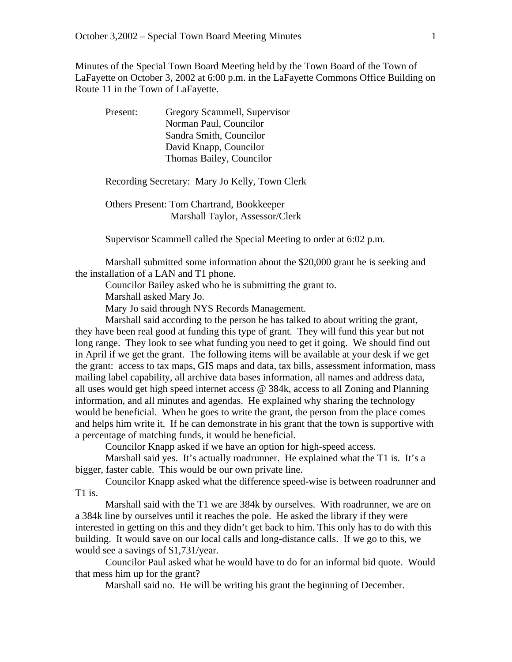Minutes of the Special Town Board Meeting held by the Town Board of the Town of LaFayette on October 3, 2002 at 6:00 p.m. in the LaFayette Commons Office Building on Route 11 in the Town of LaFayette.

Present: Gregory Scammell, Supervisor Norman Paul, Councilor Sandra Smith, Councilor David Knapp, Councilor Thomas Bailey, Councilor

## Recording Secretary: Mary Jo Kelly, Town Clerk

 Others Present: Tom Chartrand, Bookkeeper Marshall Taylor, Assessor/Clerk

Supervisor Scammell called the Special Meeting to order at 6:02 p.m.

 Marshall submitted some information about the \$20,000 grant he is seeking and the installation of a LAN and T1 phone.

Councilor Bailey asked who he is submitting the grant to.

Marshall asked Mary Jo.

Mary Jo said through NYS Records Management.

 Marshall said according to the person he has talked to about writing the grant, they have been real good at funding this type of grant. They will fund this year but not long range. They look to see what funding you need to get it going. We should find out in April if we get the grant. The following items will be available at your desk if we get the grant: access to tax maps, GIS maps and data, tax bills, assessment information, mass mailing label capability, all archive data bases information, all names and address data, all uses would get high speed internet access @ 384k, access to all Zoning and Planning information, and all minutes and agendas. He explained why sharing the technology would be beneficial. When he goes to write the grant, the person from the place comes and helps him write it. If he can demonstrate in his grant that the town is supportive with a percentage of matching funds, it would be beneficial.

Councilor Knapp asked if we have an option for high-speed access.

 Marshall said yes. It's actually roadrunner. He explained what the T1 is. It's a bigger, faster cable. This would be our own private line.

 Councilor Knapp asked what the difference speed-wise is between roadrunner and T1 is.

 Marshall said with the T1 we are 384k by ourselves. With roadrunner, we are on a 384k line by ourselves until it reaches the pole. He asked the library if they were interested in getting on this and they didn't get back to him. This only has to do with this building. It would save on our local calls and long-distance calls. If we go to this, we would see a savings of \$1,731/year.

 Councilor Paul asked what he would have to do for an informal bid quote. Would that mess him up for the grant?

Marshall said no. He will be writing his grant the beginning of December.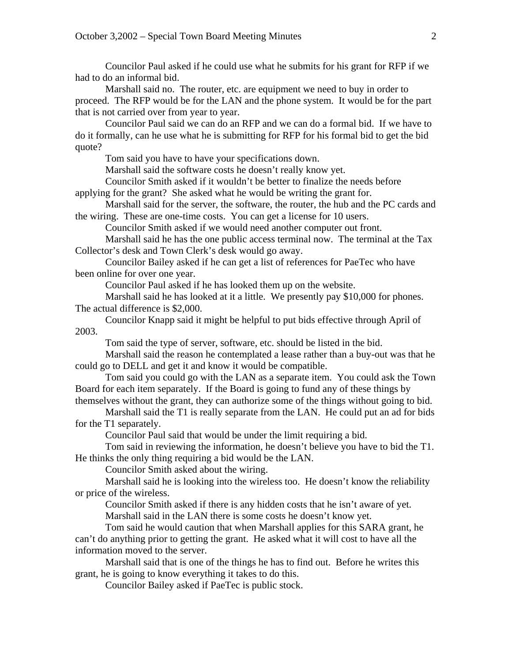Councilor Paul asked if he could use what he submits for his grant for RFP if we had to do an informal bid.

 Marshall said no. The router, etc. are equipment we need to buy in order to proceed. The RFP would be for the LAN and the phone system. It would be for the part that is not carried over from year to year.

 Councilor Paul said we can do an RFP and we can do a formal bid. If we have to do it formally, can he use what he is submitting for RFP for his formal bid to get the bid quote?

Tom said you have to have your specifications down.

Marshall said the software costs he doesn't really know yet.

 Councilor Smith asked if it wouldn't be better to finalize the needs before applying for the grant? She asked what he would be writing the grant for.

 Marshall said for the server, the software, the router, the hub and the PC cards and the wiring. These are one-time costs. You can get a license for 10 users.

Councilor Smith asked if we would need another computer out front.

 Marshall said he has the one public access terminal now. The terminal at the Tax Collector's desk and Town Clerk's desk would go away.

 Councilor Bailey asked if he can get a list of references for PaeTec who have been online for over one year.

Councilor Paul asked if he has looked them up on the website.

 Marshall said he has looked at it a little. We presently pay \$10,000 for phones. The actual difference is \$2,000.

 Councilor Knapp said it might be helpful to put bids effective through April of 2003.

Tom said the type of server, software, etc. should be listed in the bid.

 Marshall said the reason he contemplated a lease rather than a buy-out was that he could go to DELL and get it and know it would be compatible.

 Tom said you could go with the LAN as a separate item. You could ask the Town Board for each item separately. If the Board is going to fund any of these things by themselves without the grant, they can authorize some of the things without going to bid.

 Marshall said the T1 is really separate from the LAN. He could put an ad for bids for the T1 separately.

Councilor Paul said that would be under the limit requiring a bid.

 Tom said in reviewing the information, he doesn't believe you have to bid the T1. He thinks the only thing requiring a bid would be the LAN.

Councilor Smith asked about the wiring.

 Marshall said he is looking into the wireless too. He doesn't know the reliability or price of the wireless.

 Councilor Smith asked if there is any hidden costs that he isn't aware of yet. Marshall said in the LAN there is some costs he doesn't know yet.

 Tom said he would caution that when Marshall applies for this SARA grant, he can't do anything prior to getting the grant. He asked what it will cost to have all the information moved to the server.

 Marshall said that is one of the things he has to find out. Before he writes this grant, he is going to know everything it takes to do this.

Councilor Bailey asked if PaeTec is public stock.